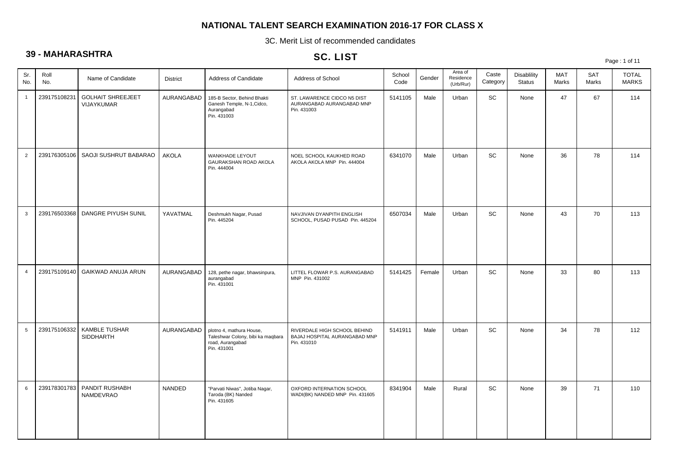3C. Merit List of recommended candidates

## **39 - MAHARASHTRA**

## SC. LIST

Page : 1 of 11

| Sr.<br>No.      | Roll<br>No.  | Name of Candidate                        | <b>District</b> | Address of Candidate                                                                             | Address of School                                                            | School<br>Code | Gender | Area of<br>Residence<br>(Urb/Rur) | Caste<br>Category | <b>Disablility</b><br><b>Status</b> | <b>MAT</b><br>Marks | SAT<br>Marks | <b>TOTAL</b><br><b>MARKS</b> |
|-----------------|--------------|------------------------------------------|-----------------|--------------------------------------------------------------------------------------------------|------------------------------------------------------------------------------|----------------|--------|-----------------------------------|-------------------|-------------------------------------|---------------------|--------------|------------------------------|
| $\mathbf{1}$    | 239175108231 | <b>GOLHAIT SHREEJEET</b><br>VIJAYKUMAR   | AURANGABAD      | 185-B Sector, Behind Bhakti<br>Ganesh Temple, N-1, Cidco,<br>Aurangabad<br>Pin. 431003           | ST. LAWARENCE CIDCO N5 DIST<br>AURANGABAD AURANGABAD MNP<br>Pin. 431003      | 5141105        | Male   | Urban                             | SC                | None                                | 47                  | 67           | 114                          |
| $\overline{2}$  | 239176305106 | SAOJI SUSHRUT BABARAO                    | <b>AKOLA</b>    | WANKHADE LEYOUT<br>GAURAKSHAN ROAD AKOLA<br>Pin. 444004                                          | NOEL SCHOOL KAUKHED ROAD<br>AKOLA AKOLA MNP Pin. 444004                      | 6341070        | Male   | Urban                             | SC                | None                                | 36                  | 78           | 114                          |
| $\mathbf{3}$    | 239176503368 | DANGRE PIYUSH SUNIL                      | YAVATMAL        | Deshmukh Nagar, Pusad<br>Pin. 445204                                                             | NAVJIVAN DYANPITH ENGLISH<br>SCHOOL, PUSAD PUSAD Pin. 445204                 | 6507034        | Male   | Urban                             | SC                | None                                | 43                  | 70           | 113                          |
| $\overline{4}$  | 239175109140 | GAIKWAD ANUJA ARUN                       | AURANGABAD      | 128, pethe nagar, bhawsinpura,<br>aurangabad<br>Pin. 431001                                      | LITTEL FLOWAR P.S. AURANGABAD<br>MNP Pin. 431002                             | 5141425        | Female | Urban                             | SC                | None                                | 33                  | 80           | 113                          |
| $5\phantom{.0}$ | 239175106332 | <b>KAMBLE TUSHAR</b><br><b>SIDDHARTH</b> | AURANGABAD      | plotno 4, mathura House,<br>Taleshwar Colony, bibi ka maqbara<br>road, Aurangabad<br>Pin. 431001 | RIVERDALE HIGH SCHOOL BEHIND<br>BAJAJ HOSPITAL AURANGABAD MNP<br>Pin. 431010 | 5141911        | Male   | Urban                             | SC                | None                                | 34                  | 78           | 112                          |
| 6               | 239178301783 | PANDIT RUSHABH<br>NAMDEVRAO              | NANDED          | "Parvati Niwas", Jotiba Nagar,<br>Taroda (BK) Nanded<br>Pin. 431605                              | OXFORD INTERNATION SCHOOL<br>WADI(BK) NANDED MNP Pin. 431605                 | 8341904        | Male   | Rural                             | SC                | None                                | 39                  | 71           | 110                          |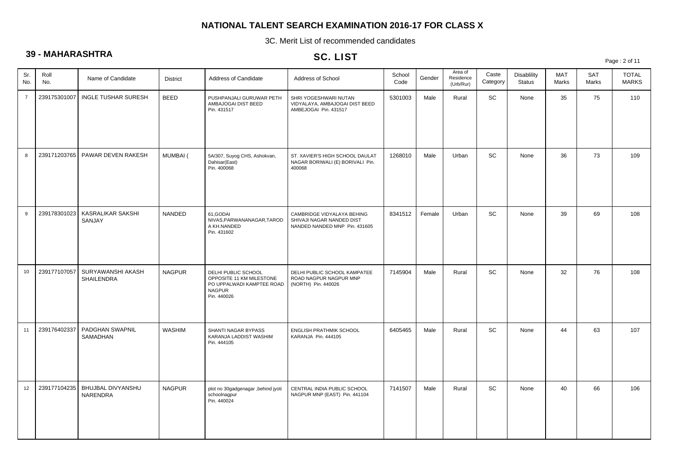3C. Merit List of recommended candidates

## **39 - MAHARASHTRA**

### SC. LIST

Page : 2 of 11

| Sr.<br>No.     | Roll<br>No.  | Name of Candidate                      | <b>District</b> | Address of Candidate                                                                                         | Address of School                                                                        | School<br>Code | Gender | Area of<br>Residence<br>(Urb/Rur) | Caste<br>Category | Disablility<br><b>Status</b> | <b>MAT</b><br>Marks | <b>SAT</b><br>Marks | <b>TOTAL</b><br><b>MARKS</b> |
|----------------|--------------|----------------------------------------|-----------------|--------------------------------------------------------------------------------------------------------------|------------------------------------------------------------------------------------------|----------------|--------|-----------------------------------|-------------------|------------------------------|---------------------|---------------------|------------------------------|
| $\overline{7}$ | 239175301007 | <b>INGLE TUSHAR SURESH</b>             | <b>BEED</b>     | PUSHPANJALI GURUWAR PETH<br>AMBAJOGAI DIST BEED<br>Pin. 431517                                               | SHRI YOGESHWARI NUTAN<br>VIDYALAYA, AMBAJOGAI DIST BEED<br>AMBEJOGAI Pin. 431517         | 5301003        | Male   | Rural                             | SC                | None                         | 35                  | 75                  | 110                          |
| 8              | 239171203765 | PAWAR DEVEN RAKESH                     | MUMBAI (        | 5A/307, Suyog CHS, Ashokvan,<br>Dahisar(East)<br>Pin. 400068                                                 | ST. XAVIER'S HIGH SCHOOL DAULAT<br>NAGAR BORIWALI (E) BORIVALI Pin.<br>400068            | 1268010        | Male   | Urban                             | SC                | None                         | 36                  | 73                  | 109                          |
| 9              | 239178301023 | KASRALIKAR SAKSHI<br>SANJAY            | <b>NANDED</b>   | 61.GODAI<br>NIVAS, PARWANANAGAR, TAROD<br>A KH.NANDED<br>Pin. 431602                                         | CAMBRIDGE VIDYALAYA BEHING<br>SHIVAJI NAGAR NANDED DIST<br>NANDED NANDED MNP Pin. 431605 | 8341512        | Female | Urban                             | SC                | None                         | 39                  | 69                  | 108                          |
| 10             | 239177107057 | SURYAWANSHI AKASH<br><b>SHAILENDRA</b> | <b>NAGPUR</b>   | DELHI PUBLIC SCHOOL<br>OPPOSITE 11 KM MILESTONE<br>PO UPPALWADI KAMPTEE ROAD<br><b>NAGPUR</b><br>Pin. 440026 | DELHI PUBLIC SCHOOL KAMPATEE<br>ROAD NAGPUR NAGPUR MNP<br>(NORTH) Pin. 440026            | 7145904        | Male   | Rural                             | SC                | None                         | 32                  | 76                  | 108                          |
| 11             | 239176402337 | PADGHAN SWAPNIL<br>SAMADHAN            | <b>WASHIM</b>   | SHANTI NAGAR BYPASS<br>KARANJA LADDIST WASHIM<br>Pin. 444105                                                 | <b>ENGLISH PRATHMIK SCHOOL</b><br>KARANJA Pin. 444105                                    | 6405465        | Male   | Rural                             | SC                | None                         | 44                  | 63                  | 107                          |
| 12             | 239177104235 | <b>BHUJBAL DIVYANSHU</b><br>NARENDRA   | <b>NAGPUR</b>   | plot no 30gadgenagar , behind jyoti<br>schoolnagpur<br>Pin. 440024                                           | CENTRAL INDIA PUBLIC SCHOOL<br>NAGPUR MNP (EAST) Pin. 441104                             | 7141507        | Male   | Rural                             | SC                | None                         | 40                  | 66                  | 106                          |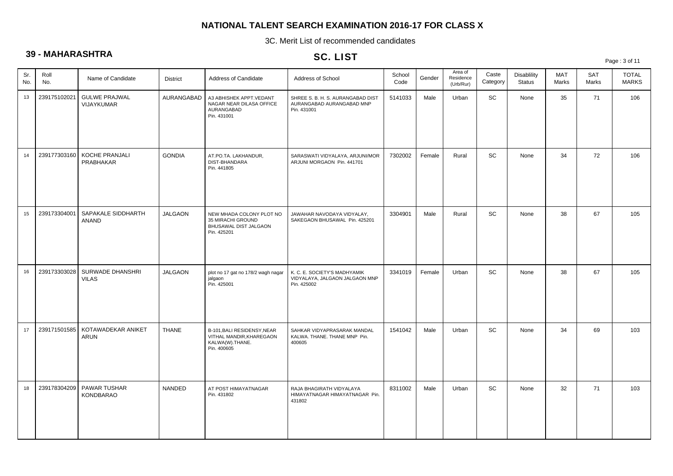3C. Merit List of recommended candidates

## **39 - MAHARASHTRA**

## SC. LIST

Page : 3 of 11

| Sr.<br>No. | Roll<br>No.  | Name of Candidate                  | <b>District</b> | Address of Candidate                                                                      | Address of School                                                             | School<br>Code | Gender | Area of<br>Residence<br>(Urb/Rur) | Caste<br>Category | Disablility<br><b>Status</b> | <b>MAT</b><br>Marks | <b>SAT</b><br>Marks | <b>TOTAL</b><br><b>MARKS</b> |
|------------|--------------|------------------------------------|-----------------|-------------------------------------------------------------------------------------------|-------------------------------------------------------------------------------|----------------|--------|-----------------------------------|-------------------|------------------------------|---------------------|---------------------|------------------------------|
| 13         | 239175102021 | <b>GULWE PRAJWAL</b><br>VIJAYKUMAR | AURANGABAD      | A3 ABHISHEK APPT.VEDANT<br>NAGAR NEAR DILASA OFFICE<br>AURANGABAD<br>Pin. 431001          | SHREE S. B. H. S. AURANGABAD DIST<br>AURANGABAD AURANGABAD MNP<br>Pin. 431001 | 5141033        | Male   | Urban                             | SC                | None                         | 35                  | 71                  | 106                          |
| 14         | 239177303160 | KOCHE PRANJALI<br>PRABHAKAR        | <b>GONDIA</b>   | AT.PO.TA. LAKHANDUR,<br>DIST-BHANDARA<br>Pin. 441805                                      | SARASWATI VIDYALAYA, ARJUNI/MOR<br>ARJUNI MORGAON Pin. 441701                 | 7302002        | Female | Rural                             | SC                | None                         | 34                  | 72                  | 106                          |
| 15         | 239173304001 | SAPAKALE SIDDHARTH<br><b>ANAND</b> | <b>JALGAON</b>  | NEW MHADA COLONY PLOT NO<br>35 MIRACHI GROUND<br>BHUSAWAL DIST JALGAON<br>Pin. 425201     | JAWAHAR NAVODAYA VIDYALAY,<br>SAKEGAON BHUSAWAL Pin. 425201                   | 3304901        | Male   | Rural                             | <b>SC</b>         | None                         | 38                  | 67                  | 105                          |
| 16         | 239173303028 | SURWADE DHANSHRI<br><b>VILAS</b>   | <b>JALGAON</b>  | plot no 17 gat no 178/2 wagh nagar<br>jalgaon<br>Pin. 425001                              | K. C. E. SOCIETY'S MADHYAMIK<br>VIDYALAYA, JALGAON JALGAON MNP<br>Pin. 425002 | 3341019        | Female | Urban                             | SC                | None                         | 38                  | 67                  | 105                          |
| 17         | 239171501585 | KOTAWADEKAR ANIKET<br>ARUN         | <b>THANE</b>    | B-101, BALI RESIDENSY, NEAR<br>VITHAL MANDIR, KHAREGAON<br>KALWA(W).THANE.<br>Pin. 400605 | SAHKAR VIDYAPRASARAK MANDAL<br>KALWA. THANE. THANE MNP Pin.<br>400605         | 1541042        | Male   | Urban                             | <b>SC</b>         | None                         | 34                  | 69                  | 103                          |
| 18         | 239178304209 | PAWAR TUSHAR<br><b>KONDBARAO</b>   | NANDED          | AT POST HIMAYATNAGAR<br>Pin. 431802                                                       | RAJA BHAGIRATH VIDYALAYA<br>HIMAYATNAGAR HIMAYATNAGAR Pin.<br>431802          | 8311002        | Male   | Urban                             | SC                | None                         | 32                  | 71                  | 103                          |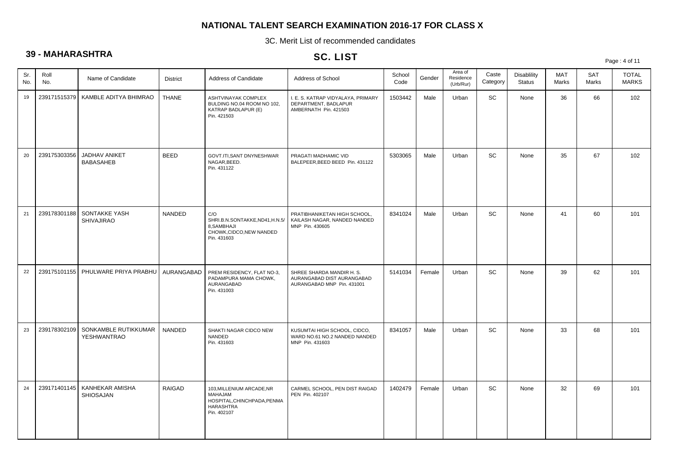3C. Merit List of recommended candidates

## **39 - MAHARASHTRA**

### SC. LIST

Page : 4 of 11

| Sr.<br>No. | Roll<br>No.  | Name of Candidate                          | <b>District</b> | Address of Candidate                                                                                   | Address of School                                                                     | School<br>Code | Gender | Area of<br>Residence<br>(Urb/Rur) | Caste<br>Category | <b>Disablility</b><br><b>Status</b> | MAT<br>Marks | <b>SAT</b><br>Marks | <b>TOTAL</b><br><b>MARKS</b> |
|------------|--------------|--------------------------------------------|-----------------|--------------------------------------------------------------------------------------------------------|---------------------------------------------------------------------------------------|----------------|--------|-----------------------------------|-------------------|-------------------------------------|--------------|---------------------|------------------------------|
| 19         |              | 239171515379 KAMBLE ADITYA BHIMRAO         | <b>THANE</b>    | ASHTVINAYAK COMPLEX<br>BULDING NO.04 ROOM NO 102,<br>KATRAP BADLAPUR (E)<br>Pin. 421503                | I. E. S. KATRAP VIDYALAYA, PRIMARY<br>DEPARTMENT, BADLAPUR<br>AMBERNATH Pin. 421503   | 1503442        | Male   | Urban                             | SC                | None                                | 36           | 66                  | 102                          |
| 20         | 239175303356 | JADHAV ANIKET<br><b>BABASAHEB</b>          | <b>BEED</b>     | GOVT.ITI, SANT DNYNESHWAR<br>NAGAR, BEED.<br>Pin. 431122                                               | PRAGATI MADHAMIC VID<br>BALEPEER, BEED BEED Pin. 431122                               | 5303065        | Male   | Urban                             | <b>SC</b>         | None                                | 35           | 67                  | 102                          |
| 21         | 239178301188 | SONTAKKE YASH<br><b>SHIVAJIRAO</b>         | NANDED          | C/O<br>SHRI.B.N.SONTAKKE,ND41,H.N.5/<br>8, SAMBHAJI<br>CHOWK, CIDCO, NEW NANDED<br>Pin. 431603         | PRATIBHANIKETAN HIGH SCHOOL,<br>KAILASH NAGAR, NANDED NANDED<br>MNP Pin. 430605       | 8341024        | Male   | Urban                             | SC                | None                                | 41           | 60                  | 101                          |
| 22         |              | 239175101155   PHULWARE PRIYA PRABHU       | AURANGABAD      | PREM RESIDENCY, FLAT NO-3,<br>PADAMPURA MAMA CHOWK,<br>AURANGABAD<br>Pin. 431003                       | SHREE SHARDA MANDIR H. S.<br>AURANGABAD DIST AURANGABAD<br>AURANGABAD MNP Pin. 431001 | 5141034        | Female | Urban                             | SC                | None                                | 39           | 62                  | 101                          |
| 23         | 239178302109 | SONKAMBLE RUTIKKUMAR<br><b>YESHWANTRAO</b> | NANDED          | SHAKTI NAGAR CIDCO NEW<br>NANDED<br>Pin. 431603                                                        | KUSUMTAI HIGH SCHOOL, CIDCO,<br>WARD NO.61 NO.2 NANDED NANDED<br>MNP Pin. 431603      | 8341057        | Male   | Urban                             | <b>SC</b>         | None                                | 33           | 68                  | 101                          |
| 24         | 239171401145 | KANHEKAR AMISHA<br><b>SHIOSAJAN</b>        | <b>RAIGAD</b>   | 103, MILLENIUM ARCADE, NR<br>MAHAJAM<br>HOSPITAL, CHINCHPADA, PENMA<br><b>HARASHTRA</b><br>Pin. 402107 | CARMEL SCHOOL, PEN DIST RAIGAD<br>PEN Pin. 402107                                     | 1402479        | Female | Urban                             | <b>SC</b>         | None                                | 32           | 69                  | 101                          |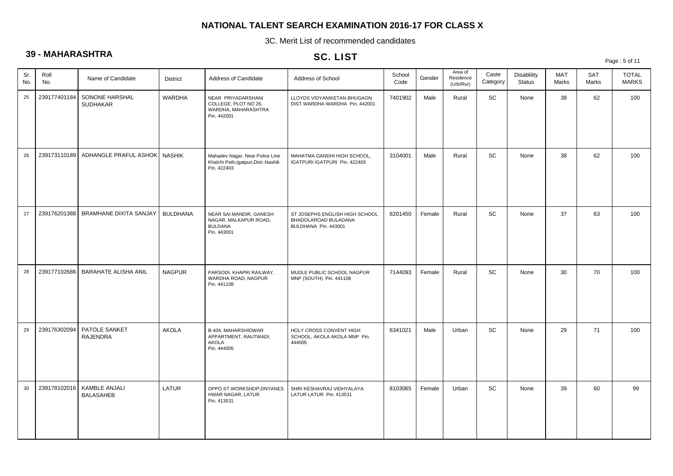3C. Merit List of recommended candidates

## **39 - MAHARASHTRA**

## SC. LIST

Page : 5 of 11

| Sr.<br>No. | Roll<br>No.  | Name of Candidate                 | <b>District</b> | Address of Candidate                                                                     | Address of School                                                              | School<br>Code | Gender | Area of<br>Residence<br>(Urb/Rur) | Caste<br>Category | Disablility<br><b>Status</b> | MAT<br>Marks | <b>SAT</b><br>Marks | <b>TOTAL</b><br><b>MARKS</b> |
|------------|--------------|-----------------------------------|-----------------|------------------------------------------------------------------------------------------|--------------------------------------------------------------------------------|----------------|--------|-----------------------------------|-------------------|------------------------------|--------------|---------------------|------------------------------|
| 25         | 239177401184 | SONONE HARSHAL<br><b>SUDHAKAR</b> | <b>WARDHA</b>   | NEAR PRIYADARSHANI<br>COLLEGE, PLOT NO 26,<br>WARDHA, MAHARASHTRA<br>Pin. 442001         | LLOYDS VIDYANIKETAN BHUGAON<br>DIST WARDHA WARDHA Pin. 442001                  | 7401902        | Male   | Rural                             | SC                | None                         | 38           | 62                  | 100                          |
| 26         | 239173110189 | ADHANGLE PRAFUL ASHOK             | <b>NASHIK</b>   | Mahadev Nagar, Near Police Line<br>Khalchi Peth, Igatpuri, Dist: - Nashik<br>Pin. 422403 | MAHATMA GANDHI HIGH SCHOOL,<br>IGATPURI IGATPURI Pin. 422403                   | 3104001        | Male   | Rural                             | SC                | None                         | 38           | 62                  | 100                          |
| 27         | 239176201388 | <b>BRAMHANE DIXITA SANJAY</b>     | <b>BULDHANA</b> | NEAR SAI MANDIR, GANESH<br>NAGAR, MALKAPUR ROAD,<br><b>BULDANA</b><br>Pin. 443001        | ST JOSEPHS ENGLISH HIGH SCHOOL<br>BHADOLAROAD BULADANA<br>BULDHANA Pin. 443001 | 6201450        | Female | Rural                             | SC                | None                         | 37           | 63                  | 100                          |
| 28         | 239177102686 | <b>BARAHATE ALISHA ANIL</b>       | <b>NAGPUR</b>   | PARSODI, KHAPRI RAILWAY,<br>WARDHA ROAD, NAGPUR<br>Pin. 441108                           | MUDLE PUBLIC SCHOOL NAGPUR<br>MNP (SOUTH) Pin. 441108                          | 7144093        | Female | Rural                             | SC                | None                         | 30           | 70                  | 100                          |
| 29         | 239176302094 | PATOLE SANKET<br><b>RAJENDRA</b>  | <b>AKOLA</b>    | B-404, MAHARSHIDWAR<br>APPARTMENT, RAUTWADI,<br><b>AKOLA</b><br>Pin. 444005              | HOLY CROSS CONVENT HIGH<br>SCHOOL, AKOLA AKOLA MNP Pin.<br>444005              | 6341021        | Male   | Urban                             | <b>SC</b>         | None                         | 29           | 71                  | 100                          |
| 30         | 239178102016 | KAMBLE ANJALI<br><b>BALASAHEB</b> | LATUR           | OPPO.ST.WORKSHOP,DNYANES<br>HWAR NAGAR, LATUR.<br>Pin. 413531                            | SHRI KESHAVRAJ VIDHYALAYA<br>LATUR LATUR Pin. 413531                           | 8103065        | Female | Urban                             | SC                | None                         | 39           | 60                  | 99                           |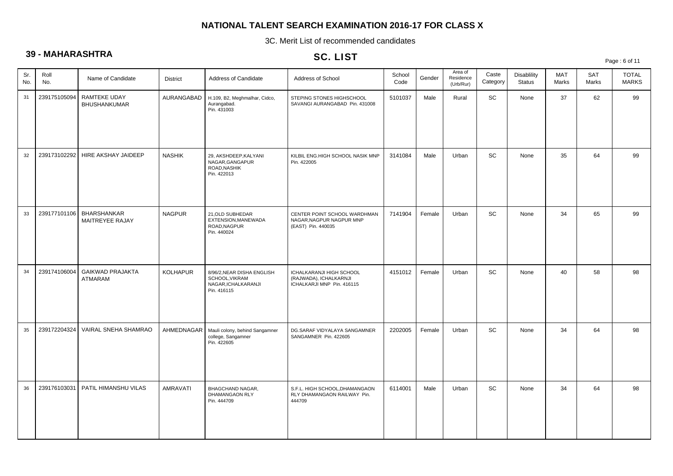3C. Merit List of recommended candidates

## **39 - MAHARASHTRA**

## SC. LIST

Page : 6 of 11

| Sr.<br>No. | Roll<br>No.  | Name of Candidate                          | <b>District</b> | Address of Candidate                                                               | Address of School                                                                       | School<br>Code | Gender | Area of<br>Residence<br>(Urb/Rur) | Caste<br>Category | <b>Disablility</b><br><b>Status</b> | <b>MAT</b><br>Marks | <b>SAT</b><br>Marks | <b>TOTAL</b><br><b>MARKS</b> |
|------------|--------------|--------------------------------------------|-----------------|------------------------------------------------------------------------------------|-----------------------------------------------------------------------------------------|----------------|--------|-----------------------------------|-------------------|-------------------------------------|---------------------|---------------------|------------------------------|
| 31         | 239175105094 | <b>RAMTEKE UDAY</b><br><b>BHUSHANKUMAR</b> | AURANGABAD      | H.109, B2, Meghmalhar, Cidco,<br>Aurangabad.<br>Pin. 431003                        | STEPING STONES HIGHSCHOOL<br>SAVANGI AURANGABAD Pin. 431008                             | 5101037        | Male   | Rural                             | SC                | None                                | 37                  | 62                  | 99                           |
| 32         | 239173102292 | HIRE AKSHAY JAIDEEP                        | <b>NASHIK</b>   | 29, AKSHDEEP, KALYANI<br>NAGAR, GANGAPUR<br>ROAD, NASHIK<br>Pin. 422013            | KILBIL ENG.HIGH SCHOOL NASIK MNP<br>Pin. 422005                                         | 3141084        | Male   | Urban                             | SC                | None                                | 35                  | 64                  | 99                           |
| 33         | 239177101106 | BHARSHANKAR<br>MAITREYEE RAJAY             | <b>NAGPUR</b>   | 21.OLD SUBHEDAR<br>EXTENSION, MANEWADA<br>ROAD, NAGPUR<br>Pin. 440024              | CENTER POINT SCHOOL WARDHMAN<br>NAGAR, NAGPUR NAGPUR MNP<br>(EAST) Pin. 440035          | 7141904        | Female | Urban                             | <b>SC</b>         | None                                | 34                  | 65                  | 99                           |
| 34         | 239174106004 | <b>GAIKWAD PRAJAKTA</b><br>ATMARAM         | <b>KOLHAPUR</b> | 8/96/2, NEAR DISHA ENGLISH<br>SCHOOL, VIKRAM<br>NAGAR, ICHALKARANJI<br>Pin. 416115 | <b>ICHALKARANJI HIGH SCHOOL</b><br>(RAJWADA), ICHALKARNJI<br>ICHALKARJI MNP Pin. 416115 | 4151012        | Female | Urban                             | SC                | None                                | 40                  | 58                  | 98                           |
| 35         | 239172204324 | VAIRAL SNEHA SHAMRAO                       | AHMEDNAGAR      | Mauli colony, behind Sangamner<br>college, Sangamner<br>Pin. 422605                | DG.SARAF VIDYALAYA SANGAMNER<br>SANGAMNER Pin. 422605                                   | 2202005        | Female | Urban                             | <b>SC</b>         | None                                | 34                  | 64                  | 98                           |
| 36         | 239176103031 | PATIL HIMANSHU VILAS                       | <b>AMRAVATI</b> | <b>BHAGCHAND NAGAR,</b><br>DHAMANGAON RLY<br>Pin. 444709                           | S.F.L. HIGH SCHOOL, DHAMANGAON<br>RLY DHAMANGAON RAILWAY Pin.<br>444709                 | 6114001        | Male   | Urban                             | <b>SC</b>         | None                                | 34                  | 64                  | 98                           |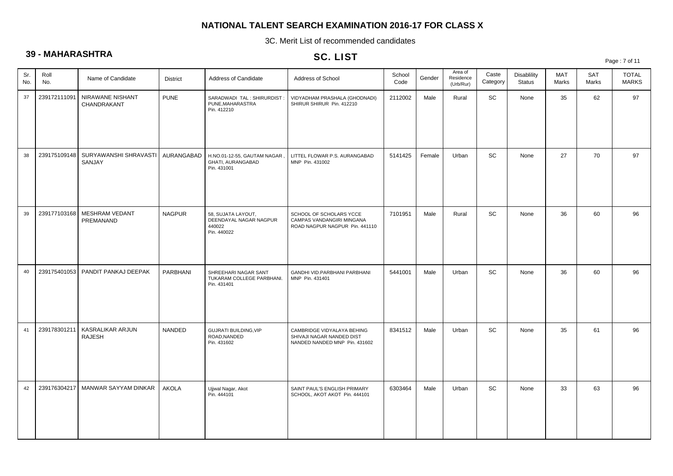3C. Merit List of recommended candidates

## **39 - MAHARASHTRA**

## SC. LIST

| $\check{ }$ |              |                                   |                 |                                                                       | $56.$ LIST                                                                               |                |        |                                   |                   |                                     |              |                     | Page: 7 of 11                |
|-------------|--------------|-----------------------------------|-----------------|-----------------------------------------------------------------------|------------------------------------------------------------------------------------------|----------------|--------|-----------------------------------|-------------------|-------------------------------------|--------------|---------------------|------------------------------|
| Sr.<br>No.  | Roll<br>No.  | Name of Candidate                 | <b>District</b> | Address of Candidate                                                  | Address of School                                                                        | School<br>Code | Gender | Area of<br>Residence<br>(Urb/Rur) | Caste<br>Category | <b>Disablility</b><br><b>Status</b> | MAT<br>Marks | <b>SAT</b><br>Marks | <b>TOTAL</b><br><b>MARKS</b> |
| 37          | 239172111091 | NIRAWANE NISHANT<br>CHANDRAKANT   | <b>PUNE</b>     | SARADWADI TAL: SHIRURDIST:<br>PUNE, MAHARASTRA<br>Pin. 412210         | VIDYADHAM PRASHALA (GHODNADI)<br>SHIRUR SHIRUR Pin. 412210                               | 2112002        | Male   | Rural                             | SC                | None                                | 35           | 62                  | 97                           |
| 38          | 239175109148 | SURYAWANSHI SHRAVASTI<br>SANJAY   | AURANGABAD      | H.NO.01-12-55, GAUTAM NAGAR,<br>GHATI, AURANGABAD<br>Pin. 431001      | LITTEL FLOWAR P.S. AURANGABAD<br>MNP Pin. 431002                                         | 5141425        | Female | Urban                             | SC                | None                                | 27           | 70                  | 97                           |
| 39          | 239177103168 | MESHRAM VEDANT<br>PREMANAND       | <b>NAGPUR</b>   | 58, SUJATA LAYOUT,<br>DEENDAYAL NAGAR NAGPUR<br>440022<br>Pin. 440022 | SCHOOL OF SCHOLARS YCCE<br>CAMPAS VANDANGIRI MINGANA<br>ROAD NAGPUR NAGPUR Pin. 441110   | 7101951        | Male   | Rural                             | SC                | None                                | 36           | 60                  | 96                           |
| 40          | 239175401053 | PANDIT PANKAJ DEEPAK              | PARBHANI        | SHREEHARI NAGAR SANT<br>TUKARAM COLLEGE PARBHANI.<br>Pin. 431401      | GANDHI VID.PARBHANI PARBHANI<br>MNP Pin. 431401                                          | 5441001        | Male   | Urban                             | SC                | None                                | 36           | 60                  | 96                           |
| 41          | 239178301211 | KASRALIKAR ARJUN<br><b>RAJESH</b> | <b>NANDED</b>   | <b>GUJRATI BUILDING, VIP</b><br>ROAD, NANDED<br>Pin. 431602           | CAMBRIDGE VIDYALAYA BEHING<br>SHIVAJI NAGAR NANDED DIST<br>NANDED NANDED MNP Pin. 431602 | 8341512        | Male   | Urban                             | <b>SC</b>         | None                                | 35           | 61                  | 96                           |
| 42          | 239176304217 | MANWAR SAYYAM DINKAR              | <b>AKOLA</b>    | Ujiwal Nagar, Akot<br>Pin. 444101                                     | SAINT PAUL'S ENGLISH PRIMARY<br>SCHOOL, AKOT AKOT Pin. 444101                            | 6303464        | Male   | Urban                             | SC                | None                                | 33           | 63                  | 96                           |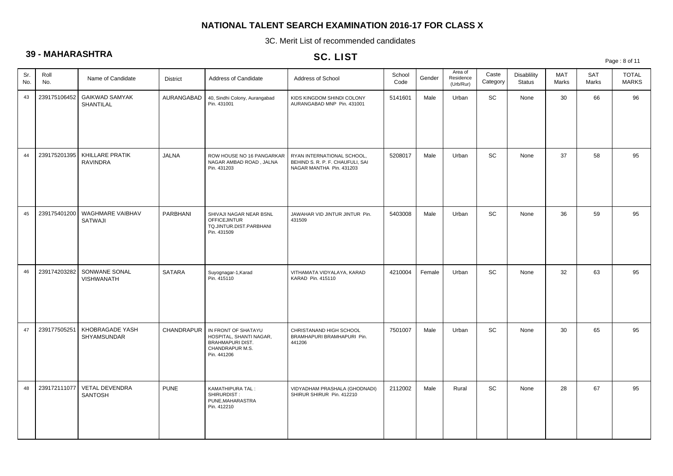3C. Merit List of recommended candidates

## **39 - MAHARASHTRA**

## SC. LIST

| $\check{ }$ | $\frac{1}{2}$ |                                    |                 |                                                                                                             | <b>SU. LIST</b>                                                                            |                |        |                                   |                              |                              |                     |                     | Page: 8 of 11                |
|-------------|---------------|------------------------------------|-----------------|-------------------------------------------------------------------------------------------------------------|--------------------------------------------------------------------------------------------|----------------|--------|-----------------------------------|------------------------------|------------------------------|---------------------|---------------------|------------------------------|
| Sr.<br>No.  | Roll<br>No.   | Name of Candidate                  | <b>District</b> | Address of Candidate                                                                                        | Address of School                                                                          | School<br>Code | Gender | Area of<br>Residence<br>(Urb/Rur) | Caste<br>Category            | <b>Disablility</b><br>Status | <b>MAT</b><br>Marks | <b>SAT</b><br>Marks | <b>TOTAL</b><br><b>MARKS</b> |
| 43          | 239175106452  | <b>GAIKWAD SAMYAK</b><br>SHANTILAL | AURANGABAD      | 40, Sindhi Colony, Aurangabad<br>Pin. 431001                                                                | KIDS KINGDOM SHINDI COLONY<br>AURANGABAD MNP Pin. 431001                                   | 5141601        | Male   | Urban                             | $\operatorname{\textsf{SC}}$ | None                         | 30                  | 66                  | 96                           |
| 44          | 239175201395  | KHILLARE PRATIK<br><b>RAVINDRA</b> | <b>JALNA</b>    | ROW HOUSE NO 16 PANGARKAR<br>NAGAR AMBAD ROAD, JALNA<br>Pin. 431203                                         | RYAN INTERNATIONAL SCHOOL,<br>BEHIND S. R. P. F. CHAUFULI, SAI<br>NAGAR MANTHA Pin. 431203 | 5208017        | Male   | Urban                             | SC                           | None                         | 37                  | 58                  | 95                           |
| 45          | 239175401200  | WAGHMARE VAIBHAV<br>SATWAJI        | PARBHANI        | SHIVAJI NAGAR NEAR BSNL<br><b>OFFICEJINTUR</b><br>TQ.JINTUR.DIST.PARBHANI<br>Pin. 431509                    | JAWAHAR VID JINTUR JINTUR Pin.<br>431509                                                   | 5403008        | Male   | Urban                             | SC                           | None                         | 36                  | 59                  | 95                           |
| 46          | 239174203282  | SONWANE SONAL<br>VISHWANATH        | <b>SATARA</b>   | Suyognagar-1, Karad<br>Pin. 415110                                                                          | VITHAMATA VIDYALAYA, KARAD<br>KARAD Pin. 415110                                            | 4210004        | Female | Urban                             | SC                           | None                         | 32                  | 63                  | 95                           |
| 47          | 239177505251  | KHOBRAGADE YASH<br>SHYAMSUNDAR     | CHANDRAPUR      | IN FRONT OF SHATAYU<br>HOSPITAL, SHANTI NAGAR,<br><b>BRAHMAPURI DIST.</b><br>CHANDRAPUR M.S.<br>Pin. 441206 | CHRISTANAND HIGH SCHOOL<br>BRAMHAPURI BRAMHAPURI Pin.<br>441206                            | 7501007        | Male   | Urban                             | SC                           | None                         | 30                  | 65                  | 95                           |
| 48          | 239172111077  | VETAL DEVENDRA<br><b>SANTOSH</b>   | <b>PUNE</b>     | KAMATHIPURA TAL:<br>SHIRURDIST:<br>PUNE, MAHARASTRA<br>Pin. 412210                                          | VIDYADHAM PRASHALA (GHODNADI)<br>SHIRUR SHIRUR Pin. 412210                                 | 2112002        | Male   | Rural                             | SC                           | None                         | 28                  | 67                  | 95                           |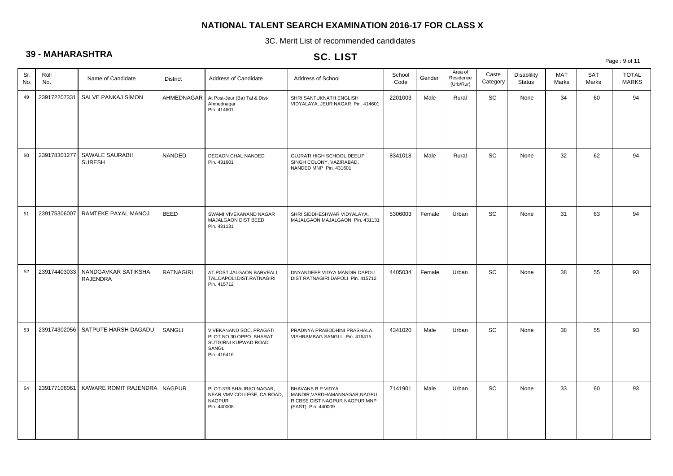3C. Merit List of recommended candidates

## **39 - MAHARASHTRA**

## SC. LIST

Page : 9 of 11

| Sr.<br>No. | Roll<br>No.  | Name of Candidate                      | District         | Address of Candidate                                                                                | Address of School                                                                                                | School<br>Code | Gender | Area of<br>Residence<br>(Urb/Rur) | Caste<br>Category | <b>Disablility</b><br><b>Status</b> | <b>MAT</b><br>Marks | <b>SAT</b><br>Marks | <b>TOTAL</b><br><b>MARKS</b> |
|------------|--------------|----------------------------------------|------------------|-----------------------------------------------------------------------------------------------------|------------------------------------------------------------------------------------------------------------------|----------------|--------|-----------------------------------|-------------------|-------------------------------------|---------------------|---------------------|------------------------------|
| 49         | 239172207331 | SALVE PANKAJ SIMON                     | AHMEDNAGAR       | At Post-Jeur (Ba) Tal & Dist-<br>Ahmednagar<br>Pin. 414601                                          | SHRI SANTUKNATH ENGLISH<br>VIDYALAYA, JEUR NAGAR Pin. 414601                                                     | 2201003        | Male   | Rural                             | SC                | None                                | 34                  | 60                  | 94                           |
| 50         | 239178301277 | SAWALE SAURABH<br><b>SURESH</b>        | <b>NANDED</b>    | DEGAON CHAL NANDED<br>Pin. 431601                                                                   | GUJRATI HIGH SCHOOL, DEELIP<br>SINGH COLONY, VAZIRABAD,<br>NANDED MNP Pin. 431601                                | 8341018        | Male   | Rural                             | SC                | None                                | 32                  | 62                  | 94                           |
| 51         | 239175306007 | RAMTEKE PAYAL MANOJ                    | <b>BEED</b>      | SWAMI VIVEKANAND NAGAR<br>MAJALGAON DIST BEED<br>Pin. 431131                                        | SHRI SIDDHESHWAR VIDYALAYA,<br>MAJALGAON MAJALGAON Pin. 431131                                                   | 5306003        | Female | Urban                             | SC                | None                                | 31                  | 63                  | 94                           |
| 52         | 239174403033 | NANDGAVKAR SATIKSHA<br><b>RAJENDRA</b> | <b>RATNAGIRI</b> | AT.POST.JALGAON BARVEALI<br>TAL.DAPOLI.DIST.RATNAGIRI<br>Pin. 415712                                | DNYANDEEP VIDYA MANDIR DAPOLI<br>DIST RATNAGIRI DAPOLI Pin. 415712                                               | 4405034        | Female | Urban                             | SC                | None                                | 38                  | 55                  | 93                           |
| 53         |              | 239174302056   SATPUTE HARSH DAGADU    | SANGLI           | VIVEKANAND SOC. PRAGATI<br>PLOT NO.30 OPPO. BHARAT<br>SUTGIRNI KUPWAD ROAD<br>SANGLI<br>Pin. 416416 | PRADNYA PRABODHINI PRASHALA<br>VISHRAMBAG SANGLI. Pin. 416415                                                    | 4341020        | Male   | Urban                             | <b>SC</b>         | None                                | 38                  | 55                  | 93                           |
| 54         | 239177106061 | KAWARE ROMIT RAJENDRA NAGPUR           |                  | PLOT-376 BHAURAO NAGAR,<br>NEAR VMV COLLEGE, CA ROAD,<br><b>NAGPUR</b><br>Pin. 440008               | <b>BHAVANS B P VIDYA</b><br>MANDIR, VARDHAMANNAGAR, NAGPU<br>R CBSE DIST NAGPUR NAGPUR MNP<br>(EAST) Pin. 440009 | 7141901        | Male   | Urban                             | SC                | None                                | 33                  | 60                  | 93                           |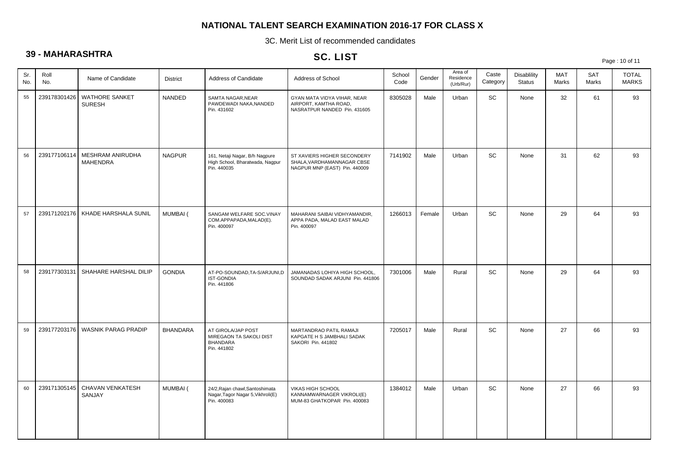3C. Merit List of recommended candidates

## **39 - MAHARASHTRA**

## SC. LIST

Page : 10 of 11

| Sr.<br>No. | Roll<br>No.  | Name of Candidate                   | <b>District</b> | Address of Candidate                                                                | Address of School                                                                          | School<br>Code | Gender | Area of<br>Residence<br>(Urb/Rur) | Caste<br>Category | <b>Disablility</b><br><b>Status</b> | <b>MAT</b><br>Marks | <b>SAT</b><br>Marks | <b>TOTAL</b><br><b>MARKS</b> |
|------------|--------------|-------------------------------------|-----------------|-------------------------------------------------------------------------------------|--------------------------------------------------------------------------------------------|----------------|--------|-----------------------------------|-------------------|-------------------------------------|---------------------|---------------------|------------------------------|
| 55         | 239178301426 | WATHORE SANKET<br><b>SURESH</b>     | NANDED          | SAMTA NAGAR, NEAR<br>PAWDEWADI NAKA, NANDED<br>Pin. 431602                          | GYAN MATA VIDYA VIHAR, NEAR<br>AIRPORT, KAMTHA ROAD,<br>NASRATPUR NANDED Pin. 431605       | 8305028        | Male   | Urban                             | SC                | None                                | 32                  | 61                  | 93                           |
| 56         | 239177106114 | MESHRAM ANIRUDHA<br><b>MAHENDRA</b> | <b>NAGPUR</b>   | 161, Netaji Nagar, B/h Nagpure<br>High School, Bharatwada, Nagpur<br>Pin. 440035    | ST XAVIERS HIGHER SECONDERY<br>SHALA, VARDHAMANNAGAR CBSE<br>NAGPUR MNP (EAST) Pin. 440009 | 7141902        | Male   | Urban                             | SC                | None                                | 31                  | 62                  | 93                           |
| 57         | 239171202176 | KHADE HARSHALA SUNIL                | MUMBAI (        | SANGAM WELFARE SOC.VINAY<br>COM.APPAPADA, MALAD(E).<br>Pin. 400097                  | MAHARANI SAIBAI VIDHYAMANDIR,<br>APPA PADA, MALAD EAST MALAD<br>Pin. 400097                | 1266013        | Female | Urban                             | SC                | None                                | 29                  | 64                  | 93                           |
| 58         | 239177303131 | SHAHARE HARSHAL DILIP               | <b>GONDIA</b>   | AT-PO-SOUNDAD, TA-S/ARJUNI, D<br><b>IST-GONDIA</b><br>Pin. 441806                   | JAMANADAS LOHIYA HIGH SCHOOL,<br>SOUNDAD SADAK ARJUNI Pin. 441806                          | 7301006        | Male   | Rural                             | SC                | None                                | 29                  | 64                  | 93                           |
| 59         | 239177203176 | <b>WASNIK PARAG PRADIP</b>          | <b>BHANDARA</b> | AT GIROLA/JAP POST<br>MIREGAON TA SAKOLI DIST<br><b>BHANDARA</b><br>Pin. 441802     | MARTANDRAO PATIL RAMAJI<br>KAPGATE H S JAMBHALI SADAK<br>SAKORI Pin. 441802                | 7205017        | Male   | Rural                             | SC                | None                                | 27                  | 66                  | 93                           |
| 60         | 239171305145 | CHAVAN VENKATESH<br>SANJAY          | MUMBAI (        | 24/2, Rajan chawl, Santoshimata<br>Nagar, Tagor Nagar 5, Vikhroli(E)<br>Pin. 400083 | <b>VIKAS HIGH SCHOOL</b><br>KANNAMWARNAGER VIKROLI(E)<br>MUM-83 GHATKOPAR Pin. 400083      | 1384012        | Male   | Urban                             | <b>SC</b>         | None                                | 27                  | 66                  | 93                           |